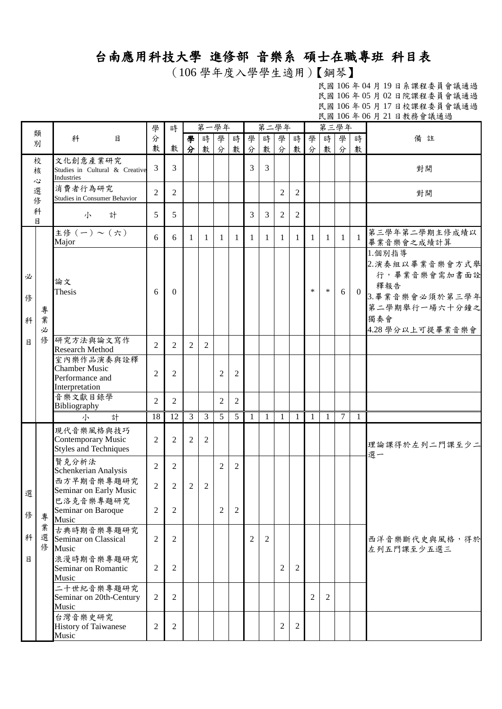## 台南應用科技大學 進修部 音樂系 碩士在職專班 科目表

(106 學年度入學學生適用)【鋼琴】

民國 106 年 04 月 19 日系課程委員會議通過 民國 106 年 05 月 02 日院課程委員會議通過 民國 106 年 05 月 17 日校課程委員會議通過 民國 106 年 06 月 21 日教務會議通過

|             |             |                                                                         | 學              | 時              |                |                | 第一學年           |                |                |                | 第二學年           |                |                | 第三學年           |                |                |                                                                                                                 |
|-------------|-------------|-------------------------------------------------------------------------|----------------|----------------|----------------|----------------|----------------|----------------|----------------|----------------|----------------|----------------|----------------|----------------|----------------|----------------|-----------------------------------------------------------------------------------------------------------------|
|             | 類<br>別      | 科<br>目                                                                  | 分<br>數         | 數              | 學<br>分         | 時<br>數         | 學<br>分         | 時<br>數         | 學<br>分         | 時<br>數         | 學<br>分         | 時<br>數         | 學<br>分         | 時<br>數         | 學<br>分         | 時<br>數         | 備註                                                                                                              |
|             | 校<br>核<br>心 | 文化創意產業研究<br>Studies in Cultural & Creative<br>Industries                | 3              | $\overline{3}$ |                |                |                |                | 3              | 3              |                |                |                |                |                |                | 對開                                                                                                              |
|             | 選<br>俢      | 消費者行為研究<br>Studies in Consumer Behavior                                 | $\overline{2}$ | 2              |                |                |                |                |                |                | 2              | 2              |                |                |                |                | 對開                                                                                                              |
|             | 科<br>目      | 小<br>計                                                                  | 5              | 5              |                |                |                |                | 3              | 3              | 2              | $\overline{c}$ |                |                |                |                |                                                                                                                 |
|             |             | 主修(一)~(六)<br>Major                                                      | 6              | 6              | -1             | $\mathbf{1}$   | 1              | -1             | 1              | 1              | $\mathbf{1}$   | 1              | $\mathbf{1}$   | 1              | $\mathbf{1}$   | $\mathbf{1}$   | 第三學年第二學期主修成績以<br>畢業音樂會之成績計算                                                                                     |
| 必<br>俢<br>科 | 專<br>業<br>必 | 論文<br>Thesis                                                            | 6              | $\theta$       |                |                |                |                |                |                |                |                | *              | $\ast$         | 6              | $\overline{0}$ | 1.個別指導<br>2. 演奏組以畢業音樂會方式舉<br>行,畢業音樂會需加書面詮<br>釋報告<br>3. 畢業音樂會必須於第三學年<br>第二學期舉行一場六十分鐘之<br>獨奏會<br>4.28 學分以上可提畢業音樂會 |
| 目           | 修           | 研究方法與論文寫作<br><b>Research Method</b>                                     | 2              | 2              | $\overline{2}$ | 2              |                |                |                |                |                |                |                |                |                |                |                                                                                                                 |
|             |             | 室內樂作品演奏與詮釋<br><b>Chamber Music</b><br>Performance and<br>Interpretation | $\overline{2}$ | $\overline{2}$ |                |                | $\overline{2}$ | $\overline{c}$ |                |                |                |                |                |                |                |                |                                                                                                                 |
|             |             | 音樂文獻目錄學<br>Bibliography                                                 | $\overline{2}$ | 2              |                |                | 2              | $\overline{2}$ |                |                |                |                |                |                |                |                |                                                                                                                 |
|             |             | 計<br>小                                                                  | 18             | 12             | $\overline{3}$ | 3              | 5              | 5              | $\mathbf{1}$   | $\mathbf{1}$   | $\mathbf{1}$   | $\mathbf{1}$   | $\mathbf{1}$   | 1              | $\overline{7}$ | $\mathbf{1}$   |                                                                                                                 |
|             |             | 現代音樂風格與技巧<br><b>Contemporary Music</b><br><b>Styles and Techniques</b>  | $\overline{2}$ | 2              | $\overline{2}$ | $\overline{c}$ |                |                |                |                |                |                |                |                |                |                | 理論課得於左列二門課至少二<br>選一                                                                                             |
|             |             | 賢克分析法<br>Schenkerian Analysis                                           | 2              | 2              |                |                | 2              | 2              |                |                |                |                |                |                |                |                |                                                                                                                 |
| 選           |             | 西方早期音樂專題研究<br>Seminar on Early Music                                    | $\overline{2}$ | 2              | 2              | 2              |                |                |                |                |                |                |                |                |                |                |                                                                                                                 |
| 俢           | 專           | 巴洛克音樂專題研究<br>Seminar on Baroque<br>Music                                | $\overline{2}$ | 2              |                |                | 2              | 2              |                |                |                |                |                |                |                |                |                                                                                                                 |
| 科           | 業<br>俢      | 古典時期音樂專題研究<br>選 Seminar on Classical<br>Music                           | $\overline{2}$ | $\overline{2}$ |                |                |                |                | $\overline{2}$ | $\overline{2}$ |                |                |                |                |                |                | 西洋音樂斷代史與風格,得於<br>左列五門課至少五選三                                                                                     |
| 目           |             | 浪漫時期音樂專題研究<br>Seminar on Romantic<br>Music                              | $\overline{2}$ | $\overline{2}$ |                |                |                |                |                |                | 2              | 2              |                |                |                |                |                                                                                                                 |
|             |             | 二十世紀音樂專題研究<br>Seminar on 20th-Century<br>Music                          | $\overline{2}$ | $\overline{2}$ |                |                |                |                |                |                |                |                | $\overline{c}$ | $\overline{c}$ |                |                |                                                                                                                 |
|             |             | 台灣音樂史研究<br><b>History of Taiwanese</b><br>Music                         | $\overline{c}$ | 2              |                |                |                |                |                |                | $\overline{c}$ | 2              |                |                |                |                |                                                                                                                 |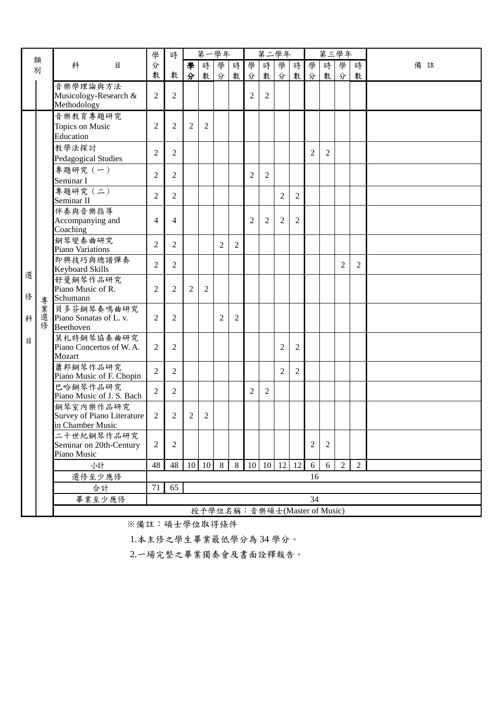| 類              |             |                                                             | 學              | 時              | 第一學年           |                              |   |   |                | 第二學年           |                              |                |                |                | 第三學年           |                |    |
|----------------|-------------|-------------------------------------------------------------|----------------|----------------|----------------|------------------------------|---|---|----------------|----------------|------------------------------|----------------|----------------|----------------|----------------|----------------|----|
|                | 別           | 科<br>目                                                      | 分              |                | 學              | 時                            | 學 | 時 | 學              | 時              | 學                            | 時              | 學              | 時              | 學              | 時              | 備註 |
|                |             |                                                             | 數              | 數              | 分              | 數                            | 分 | 數 | 分              | 數              | 分                            | 數              | 分              | 數              | 分              | 數              |    |
|                |             | 音樂學理論與方法<br>Musicology-Research &<br>Methodology            | $\overline{2}$ | 2              |                |                              |   |   | $\overline{2}$ | $\overline{c}$ |                              |                |                |                |                |                |    |
|                |             | 音樂教育專題研究<br>Topics on Music<br>Education                    | 2              | $\overline{2}$ | $\overline{2}$ | 2                            |   |   |                |                |                              |                |                |                |                |                |    |
|                |             | 教學法探討<br><b>Pedagogical Studies</b>                         | $\overline{2}$ | 2              |                |                              |   |   |                |                |                              |                | $\overline{2}$ | $\overline{2}$ |                |                |    |
|                |             | 專題研究 (一)<br>Seminar I                                       | $\overline{c}$ | $\overline{2}$ |                |                              |   |   | $\overline{2}$ | $\overline{2}$ |                              |                |                |                |                |                |    |
|                |             | 專題研究 (二)<br>Seminar II                                      | 2              | 2              |                |                              |   |   |                |                | $\overline{2}$               | $\overline{2}$ |                |                |                |                |    |
|                |             | 伴奏與音樂指導<br>Accompanying and<br>Coaching                     | $\overline{4}$ | $\overline{4}$ |                |                              |   |   | 2              | 2              | $\overline{2}$               | 2              |                |                |                |                |    |
|                |             | 鋼琴變奏曲研究<br>Piano Variations                                 | $\overline{c}$ | 2              |                |                              | 2 | 2 |                |                |                              |                |                |                |                |                |    |
| 選              |             | 即興技巧與總譜彈奏<br><b>Keyboard Skills</b>                         | $\overline{2}$ | $\overline{2}$ |                |                              |   |   |                |                |                              |                |                |                | $\overline{2}$ | 2              |    |
| 俢              | 專           | 舒曼鋼琴作品研究<br>Piano Music of R.<br>Schumann                   | 2              | 2              | $\overline{2}$ | $\overline{2}$               |   |   |                |                |                              |                |                |                |                |                |    |
| 科              | 業<br>選<br>俢 | 貝多芬鋼琴奏鳴曲研究<br>Piano Sonatas of L. v.<br>Beethoven           | 2              | 2              |                |                              | 2 | 2 |                |                |                              |                |                |                |                |                |    |
| 目              |             | 莫札特鋼琴協奏曲研究<br>Piano Concertos of W.A.<br>Mozart             | $\overline{2}$ | 2              |                |                              |   |   |                |                | $\mathfrak{2}$               | $\overline{c}$ |                |                |                |                |    |
|                |             | 蕭邦鋼琴作品研究<br>Piano Music of F. Chopin                        | $\overline{2}$ | $\overline{2}$ |                |                              |   |   |                |                | $\overline{2}$               | $\overline{2}$ |                |                |                |                |    |
|                |             | 巴哈鋼琴作品研究<br>Piano Music of J. S. Bach                       | $\overline{2}$ | 2              |                |                              |   |   | $\overline{c}$ | $\overline{c}$ |                              |                |                |                |                |                |    |
|                |             | 鋼琴室內樂作品研究<br>Survey of Piano Literature<br>in Chamber Music | 2              | $\overline{2}$ | $\overline{2}$ | $\overline{c}$               |   |   |                |                |                              |                |                |                |                |                |    |
|                |             | 二十世紀鋼琴作品研究<br>Seminar on 20th-Century<br>Piano Music        | $\overline{2}$ | 2              |                |                              |   |   |                |                |                              |                | $\overline{2}$ | $\overline{2}$ |                |                |    |
|                |             | 小計                                                          | 48             | 48             |                | $10 \ 10 \ 8$                |   | 8 |                |                | $10 \mid 10 \mid 12 \mid 12$ |                | 6              | 6              | $\overline{2}$ | $\overline{2}$ |    |
| 選修至少應修<br>16   |             |                                                             |                |                |                |                              |   |   |                |                |                              |                |                |                |                |                |    |
| 65<br>71<br>合計 |             |                                                             |                |                |                |                              |   |   |                |                |                              |                |                |                |                |                |    |
|                |             | 畢業至少應修                                                      |                |                |                |                              |   |   |                |                |                              |                | 34             |                |                |                |    |
|                |             |                                                             |                |                |                | 授予學位名稱:音樂碩士(Master of Music) |   |   |                |                |                              |                |                |                |                |                |    |

※備註:碩士學位取得條件

1.本主修之學生畢業最低學分為 34 學分。

2.一場完整之畢業獨奏會及書面詮釋報告。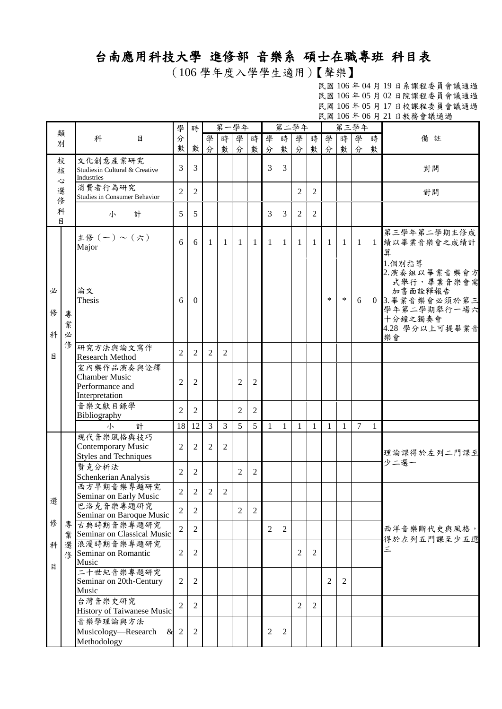## 台南應用科技大學 進修部 音樂系 碩士在職專班 科目表

(106 學年度入學學生適用)【聲樂】

民國 106 年 04 月 19 日系課程委員會議通過 民國 106 年 05 月 02 日院課程委員會議通過 民國 106 年 05 月 17 日校課程委員會議通過 民國 106 年 06 月 21 日教務會議通過

|             |             |                                                                         |                |                |                | 第一學年           |                |                 |                | 第二學年           |                |                |        | 第三學年         |                |              | W 200 T 00 1 21 H 3X 17 B 8X 22 23                                                                                    |
|-------------|-------------|-------------------------------------------------------------------------|----------------|----------------|----------------|----------------|----------------|-----------------|----------------|----------------|----------------|----------------|--------|--------------|----------------|--------------|-----------------------------------------------------------------------------------------------------------------------|
|             | 類           |                                                                         | 學              | 時              |                |                |                |                 |                |                |                |                |        |              |                |              |                                                                                                                       |
|             | 別           | 科<br>$\mathsf{B}$                                                       | 分              |                | 學              | 時              | 學              | 時               | 學              | 時              | 學              | 時              | 學      |              | 時學             | 時            | 備註                                                                                                                    |
|             |             |                                                                         | 數              | 數              | 分              | 數              | 分              | 數               | 分              | 數              | 分              | 數              | 分      | 數            | 分              | 數            |                                                                                                                       |
|             | 校<br>核<br>心 | 文化創意產業研究<br>Studies in Cultural & Creative<br>Industries                | 3              | 3              |                |                |                |                 | 3              | $\overline{3}$ |                |                |        |              |                |              | 對開                                                                                                                    |
|             | 選<br>俢      | 消費者行為研究<br>Studies in Consumer Behavior                                 | $\mathfrak{2}$ | 2              |                |                |                |                 |                |                | 2              | 2              |        |              |                |              | 對開                                                                                                                    |
| 目           | 科           | 計<br>小                                                                  | 5              | 5              |                |                |                |                 | 3              | 3              | 2              | $\overline{2}$ |        |              |                |              |                                                                                                                       |
|             |             | 主修(一)~(六)<br>Major                                                      | 6              | 6              | 1              | 1              | $\mathbf{1}$   | -1              | 1              | 1              | 1              | 1              | 1      | $\mathbf{1}$ | $\mathbf{1}$   |              | 第三學年第二學期主修成<br>1 績以畢業音樂會之成績計<br>算                                                                                     |
| 必<br>俢<br>科 | 專<br>業<br>必 | 論文<br>Thesis                                                            | 6              | $\theta$       |                |                |                |                 |                |                |                |                | $\ast$ | ∗            | 6              |              | 1.個別指導<br>2. 演奏組以畢業音樂會方<br>式舉行,畢業音樂會需<br>加書面詮釋報告<br>0 3. 畢業音樂會必須於第三<br>學年第二學期舉行一場六<br>十分鐘之獨奏會<br>4.28 學分以上可提畢業音<br>樂會 |
| 目           | 俢           | 研究方法與論文寫作<br><b>Research Method</b>                                     | $\overline{2}$ | 2              | 2              | 2              |                |                 |                |                |                |                |        |              |                |              |                                                                                                                       |
|             |             | 室內樂作品演奏與詮釋<br><b>Chamber Music</b><br>Performance and<br>Interpretation | $\overline{2}$ | $\overline{2}$ |                |                | $\overline{2}$ | $\overline{2}$  |                |                |                |                |        |              |                |              |                                                                                                                       |
|             |             | 音樂文獻目錄學<br>Bibliography                                                 | $\overline{2}$ | $\overline{2}$ |                |                | $\overline{2}$ | $\overline{2}$  |                |                |                |                |        |              |                |              |                                                                                                                       |
|             |             | 計<br>小                                                                  | 18             | 12             | 3              | 3              | 5              | $5\overline{)}$ | $\mathbf{1}$   | 1              | 1              | 1              | 1      | $\mathbf{1}$ | $\overline{7}$ | $\mathbf{1}$ |                                                                                                                       |
|             |             | 現代音樂風格與技巧<br>Contemporary Music<br><b>Styles and Techniques</b>         | $\overline{2}$ | $\overline{2}$ | 2              | $\overline{2}$ |                |                 |                |                |                |                |        |              |                |              | 理論課得於左列二門課至<br>少二選一                                                                                                   |
|             |             | 賢克分析法<br>Schenkerian Analysis                                           | $\mathfrak{2}$ | $\overline{c}$ |                |                | $\overline{2}$ | 2               |                |                |                |                |        |              |                |              |                                                                                                                       |
| 選           |             | 西方早期音樂專題研究<br>Seminar on Early Music                                    | $\overline{2}$ | $\overline{2}$ | $\overline{2}$ | 2              |                |                 |                |                |                |                |        |              |                |              |                                                                                                                       |
|             |             | 巴洛克音樂專題研究<br>Seminar on Baroque Music                                   | $\overline{2}$ | $\overline{2}$ |                |                | $\overline{2}$ | $\overline{2}$  |                |                |                |                |        |              |                |              |                                                                                                                       |
| 俢           | 專           | 古典時期音樂專題研究<br>業 Seminar on Classical Music                              | $\overline{2}$ | $\overline{2}$ |                |                |                |                 | $\overline{2}$ | $\overline{2}$ |                |                |        |              |                |              | 西洋音樂斷代史與風格,<br>得於左列五門課至少五選                                                                                            |
| 科<br>目      | 修           | 選浪漫時期音樂專題研究<br>Seminar on Romantic<br>Music                             | 2              | $\overline{c}$ |                |                |                |                 |                |                | $\overline{2}$ | $\overline{c}$ |        |              |                |              | 三                                                                                                                     |
|             |             | 二十世紀音樂專題研究<br>Seminar on 20th-Century<br>Music                          | $\mathfrak{2}$ | 2              |                |                |                |                 |                |                |                |                | 2      | 2            |                |              |                                                                                                                       |
|             |             | 台灣音樂史研究<br>History of Taiwanese Music                                   | $\overline{2}$ | $\overline{2}$ |                |                |                |                 |                |                | $\overline{2}$ | $\mathfrak{2}$ |        |              |                |              |                                                                                                                       |
|             |             | 音樂學理論與方法<br>Musicology—Research<br>&<br>Methodology                     | $\overline{2}$ | $\overline{c}$ |                |                |                |                 | $\overline{2}$ | $\mathbf{2}$   |                |                |        |              |                |              |                                                                                                                       |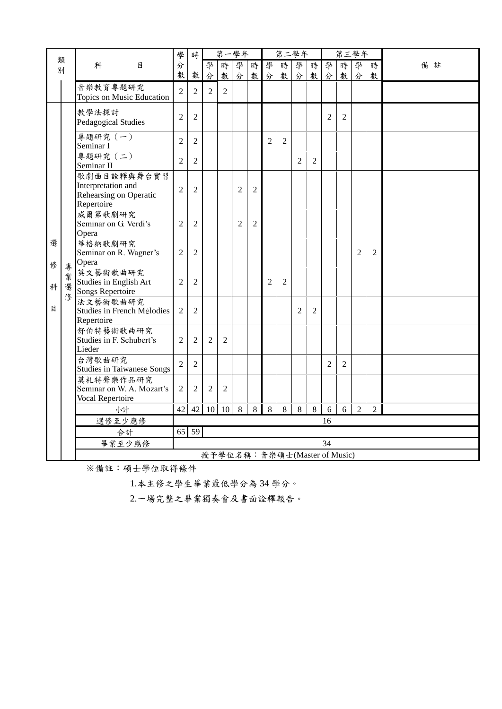|              |        |                                                                           | 學              | 時              |                | 第一學年                         |                |                |                | 第二學年           |                |                |                | 第三學年           |                |                |    |
|--------------|--------|---------------------------------------------------------------------------|----------------|----------------|----------------|------------------------------|----------------|----------------|----------------|----------------|----------------|----------------|----------------|----------------|----------------|----------------|----|
| 別            | 類      | 科<br>目                                                                    | 分              |                | 學              | 時                            | 學              | 時              | 學              | 時              | 學              | 時              | 學              | 時              | 學              | 時              | 備註 |
|              |        |                                                                           | 數              | 數              | 分              | 數                            | 分              | 數              | 分              | 數              | 分              | 數              | 分              | 數              | 分              | 數              |    |
|              |        | 音樂教育專題研究<br>Topics on Music Education                                     | $\overline{2}$ | $\overline{2}$ | $\overline{2}$ | $\overline{2}$               |                |                |                |                |                |                |                |                |                |                |    |
|              |        | 教學法探討<br><b>Pedagogical Studies</b>                                       | $\overline{2}$ | $\overline{2}$ |                |                              |                |                |                |                |                |                | $\overline{2}$ | $\overline{2}$ |                |                |    |
|              |        | 專題研究 (一)<br>Seminar I                                                     | $\overline{c}$ | $\overline{2}$ |                |                              |                |                | 2              | $\overline{2}$ |                |                |                |                |                |                |    |
|              |        | 專題研究 (二)<br>Seminar II                                                    | $\overline{2}$ | $\overline{2}$ |                |                              |                |                |                |                | 2              | $\overline{2}$ |                |                |                |                |    |
|              |        | 歌劇曲目詮釋與舞台實習<br>Interpretation and<br>Rehearsing on Operatic<br>Repertoire | $\overline{2}$ | $\overline{2}$ |                |                              | $\overline{2}$ | $\overline{2}$ |                |                |                |                |                |                |                |                |    |
|              |        | 威爾第歌劇研究<br>Seminar on G. Verdi's<br>Opera                                 | $\mathfrak{2}$ | $\overline{2}$ |                |                              | $\overline{2}$ | $\overline{2}$ |                |                |                |                |                |                |                |                |    |
| 選<br>俢       | 專      | 華格納歌劇研究<br>Seminar on R. Wagner's<br>Opera                                | $\overline{2}$ | $\overline{2}$ |                |                              |                |                |                |                |                |                |                |                | $\overline{2}$ | $\overline{2}$ |    |
| 科            | 業<br>選 | 英文藝術歌曲研究<br>Studies in English Art<br>Songs Repertoire                    | $\overline{2}$ | $\overline{2}$ |                |                              |                |                | $\overline{2}$ | $\overline{2}$ |                |                |                |                |                |                |    |
| 目            | 俢      | 法文藝術歌曲研究<br>Studies in French Mélodies<br>Repertoire                      | $\overline{2}$ | $\overline{2}$ |                |                              |                |                |                |                | $\overline{2}$ | $\overline{2}$ |                |                |                |                |    |
|              |        | 舒伯特藝術歌曲研究<br>Studies in F. Schubert's<br>Lieder                           | $\overline{2}$ | $\overline{2}$ | $\overline{2}$ | $\overline{2}$               |                |                |                |                |                |                |                |                |                |                |    |
|              |        | 台灣歌曲研究<br><b>Studies in Taiwanese Songs</b>                               | $\overline{2}$ | $\overline{2}$ |                |                              |                |                |                |                |                |                | $\overline{2}$ | $\overline{2}$ |                |                |    |
|              |        | 莫札特聲樂作品研究<br>Seminar on W. A. Mozart's<br>Vocal Repertoire                | $\overline{2}$ | $\overline{2}$ | $\overline{2}$ | 2                            |                |                |                |                |                |                |                |                |                |                |    |
|              |        | 小計                                                                        | 42             | 42             | 10             | 10                           | 8              | 8              | 8              | 8              | 8              | 8              | 6              | 6              | $\overline{2}$ | $\overline{2}$ |    |
|              |        | 選修至少應修                                                                    |                |                |                |                              |                |                |                |                |                |                | 16             |                |                |                |    |
|              |        | 合計                                                                        |                | 65 59          |                |                              |                |                |                |                |                |                |                |                |                |                |    |
| 畢業至少應修<br>34 |        |                                                                           |                |                |                |                              |                |                |                |                |                |                |                |                |                |                |    |
|              |        |                                                                           |                |                |                | 授予學位名稱:音樂碩士(Master of Music) |                |                |                |                |                |                |                |                |                |                |    |

※備註:碩士學位取得條件

1.本主修之學生畢業最低學分為 34 學分。

2.一場完整之畢業獨奏會及書面詮釋報告。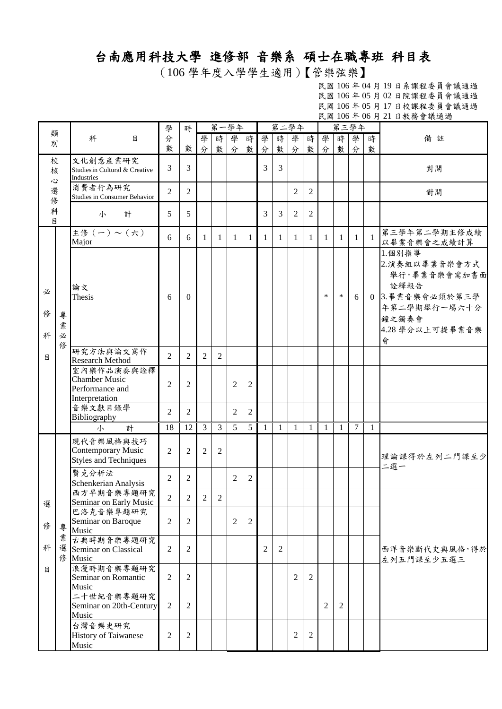## 台南應用科技大學 進修部 音樂系 碩士在職專班 科目表

(106 學年度入學學生適用)【管樂弦樂】

民國 106 年 04 月 19 日系課程委員會議通過 民國 106 年 05 月 02 日院課程委員會議通過 民國 106 年 05 月 17 日校課程委員會議通過 民國 106 年 06 月 21 日教務會議通過

|             |                  |                                                                         | 學              | 時              |                | 第一學年           |                |                |   | 第二學年           |                |                |              | 第三學年           |              |                | <b>以图 100 T 00 /J 21 口狄勿目啾迎迎</b>                                                                                    |
|-------------|------------------|-------------------------------------------------------------------------|----------------|----------------|----------------|----------------|----------------|----------------|---|----------------|----------------|----------------|--------------|----------------|--------------|----------------|---------------------------------------------------------------------------------------------------------------------|
| 類           |                  | 科<br>目                                                                  | 分              |                | 學              | 時              | 學              | 時              | 學 | 時              | 學              | 時              | 學            | 時              | 學            | 時              | 備註                                                                                                                  |
| 別           |                  |                                                                         | 數              | 數              | 分              | 數              | 分              | 數              | 分 | 數              | 分              | 數              | 分            | 數              | 分            | 數              |                                                                                                                     |
| 校<br>核<br>心 |                  | 文化創意產業研究<br>Studies in Cultural & Creative<br>Industries                | 3              | $\overline{3}$ |                |                |                |                | 3 | $\overline{3}$ |                |                |              |                |              |                | 對開                                                                                                                  |
| 選修          |                  | 消費者行為研究<br>Studies in Consumer Behavior                                 | $\overline{c}$ | $\overline{2}$ |                |                |                |                |   |                | 2              | 2              |              |                |              |                | 對開                                                                                                                  |
| 科<br>目      |                  | 計<br>小                                                                  | 5              | 5              |                |                |                |                | 3 | 3              | $\overline{2}$ | $\overline{2}$ |              |                |              |                |                                                                                                                     |
|             |                  | —<br>主修 (一) ~ (六)<br>Major                                              | 6              | 6              | $\mathbf{1}$   | 1              | 1              | 1              | 1 | $\mathbf{1}$   | $\mathbf{1}$   | $\mathbf{1}$   | $\mathbf{1}$ | 1              | $\mathbf{1}$ | $\overline{1}$ | 第三學年第二學期主修成績<br>以畢業音樂會之成績計算                                                                                         |
| 必<br>俢<br>科 | 專<br>業<br>必<br>修 | 論文<br>Thesis                                                            | 6              | $\Omega$       |                |                |                |                |   |                |                |                | $\ast$       | $\ast$         | 6            |                | 1.個別指導<br>2.演奏組以畢業音樂會方式<br>舉行,畢業音樂會需加書面<br>詮釋報告<br>0 3.畢業音樂會必須於第三學<br>年第二學期舉行一場六十分<br>鐘之獨奏會<br>4.28 學分以上可提畢業音樂<br>會 |
| 目           |                  | 研究方法與論文寫作<br><b>Research Method</b>                                     | $\overline{2}$ | $\overline{2}$ | 2              | 2              |                |                |   |                |                |                |              |                |              |                |                                                                                                                     |
|             |                  | 室內樂作品演奏與詮釋<br><b>Chamber Music</b><br>Performance and<br>Interpretation | $\overline{2}$ | $\overline{c}$ |                |                | $\overline{2}$ | $\overline{2}$ |   |                |                |                |              |                |              |                |                                                                                                                     |
|             |                  | 音樂文獻目錄學<br>Bibliography                                                 | $\overline{2}$ | $\overline{2}$ |                |                | $\overline{2}$ | $\overline{2}$ |   |                |                |                |              |                |              |                |                                                                                                                     |
|             |                  | 計<br>小                                                                  | 18             | 12             | $\overline{3}$ | 3              | 5              | 5              | 1 | $\mathbf{1}$   | $\mathbf{1}$   | 1              | 1            | 1              | 7            | 1              |                                                                                                                     |
|             |                  | 現代音樂風格與技巧<br>Contemporary Music<br><b>Styles and Techniques</b>         | 2              | $\overline{2}$ | $\overline{2}$ | $\overline{2}$ |                |                |   |                |                |                |              |                |              |                | 理論課得於左列二門課至少<br>二選一                                                                                                 |
|             |                  | 賢克分析法<br>Schenkerian Analysis                                           | $\overline{2}$ | $\overline{2}$ |                |                | $\overline{2}$ | $\overline{2}$ |   |                |                |                |              |                |              |                |                                                                                                                     |
| 選           |                  | 西方早期音樂專題研究<br>Seminar on Early Music                                    | $\overline{2}$ | 2              | 2              | 2              |                |                |   |                |                |                |              |                |              |                |                                                                                                                     |
| 修           | 專                | 巴洛克音樂專題研究<br>Seminar on Baroque<br>Music                                | $\overline{2}$ | $\overline{2}$ |                |                | $\overline{2}$ | 2              |   |                |                |                |              |                |              |                |                                                                                                                     |
| 科           | 業                | 古典時期音樂專題研究<br>選 Seminar on Classical<br>修 Music                         | 2              | $\overline{c}$ |                |                |                |                | 2 | $\overline{c}$ |                |                |              |                |              |                | 西洋音樂斷代史與風格,得於<br>左列五門課至少五選三                                                                                         |
| 目           |                  | 浪漫時期音樂專題研究<br>Seminar on Romantic<br>Music                              | 2              | 2              |                |                |                |                |   |                | $\mathbf{2}$   | 2              |              |                |              |                |                                                                                                                     |
|             |                  | 二十世紀音樂專題研究<br>Seminar on 20th-Century<br>Music                          | $\overline{2}$ | 2              |                |                |                |                |   |                |                |                | 2            | $\overline{2}$ |              |                |                                                                                                                     |
|             |                  | 台灣音樂史研究<br>History of Taiwanese<br>Music                                | 2              | 2              |                |                |                |                |   |                | 2              | 2              |              |                |              |                |                                                                                                                     |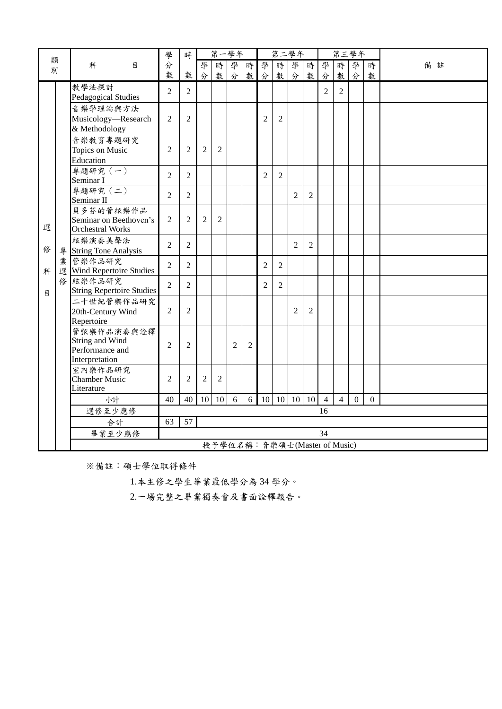|        |   |                                                                    | 學              | 時              |                |                | 第一學年                         |                |                | 第二學年             |                |                |                |                | 第三學年           |                |    |
|--------|---|--------------------------------------------------------------------|----------------|----------------|----------------|----------------|------------------------------|----------------|----------------|------------------|----------------|----------------|----------------|----------------|----------------|----------------|----|
| 類<br>別 |   | 科<br>目                                                             | 分              |                | 學              | 時              | 學                            | 時              | 學              | 時                | 學              | 時              | 學              | 時              | 學              | 時              | 備註 |
|        |   |                                                                    | 數              | 數              | 分              | 數              | 分                            | 數              | 分              | 數                | 分              | 數              | 分              | 數              | 分              | 數              |    |
|        |   | 教學法探討<br>Pedagogical Studies                                       | $\overline{2}$ | $\overline{2}$ |                |                |                              |                |                |                  |                |                | $\overline{2}$ | $\overline{2}$ |                |                |    |
|        |   | 音樂學理論與方法<br>Musicology-Research<br>& Methodology                   | $\overline{2}$ | $\overline{2}$ |                |                |                              |                | $\overline{2}$ | $\overline{2}$   |                |                |                |                |                |                |    |
|        |   | 音樂教育專題研究<br>Topics on Music<br>Education                           | $\overline{2}$ | $\overline{2}$ | $\overline{2}$ | $\overline{2}$ |                              |                |                |                  |                |                |                |                |                |                |    |
|        |   | 專題研究 (一)<br>Seminar I                                              | $\overline{2}$ | $\overline{2}$ |                |                |                              |                | $\overline{2}$ | $\overline{2}$   |                |                |                |                |                |                |    |
|        |   | 專題研究 (二)<br>Seminar II                                             | $\overline{2}$ | $\overline{2}$ |                |                |                              |                |                |                  | $\overline{2}$ | $\overline{2}$ |                |                |                |                |    |
| 選      |   | 貝多芬的管絃樂作品<br>Seminar on Beethoven's<br><b>Orchestral Works</b>     | $\overline{c}$ | $\overline{2}$ | $\overline{2}$ | $\overline{2}$ |                              |                |                |                  |                |                |                |                |                |                |    |
| 俢      |   | 絃樂演奏美聲法<br>專 String Tone Analysis                                  | $\overline{2}$ | $\overline{2}$ |                |                |                              |                |                |                  | $\overline{c}$ | $\overline{2}$ |                |                |                |                |    |
| 科      | 業 | 管樂作品研究<br>選 Wind Repertoire Studies                                | $\overline{2}$ | $\overline{2}$ |                |                |                              |                | $\overline{2}$ | $\overline{2}$   |                |                |                |                |                |                |    |
| 目      |   | 修 絃樂作品研究<br><b>String Repertoire Studies</b>                       | $\overline{2}$ | $\overline{2}$ |                |                |                              |                | $\overline{2}$ | $\overline{2}$   |                |                |                |                |                |                |    |
|        |   | 二十世紀管樂作品研究<br>20th-Century Wind<br>Repertoire                      | $\overline{c}$ | $\overline{c}$ |                |                |                              |                |                |                  | 2              | $\overline{c}$ |                |                |                |                |    |
|        |   | 管弦樂作品演奏與詮釋<br>String and Wind<br>Performance and<br>Interpretation | $\overline{2}$ | $\overline{2}$ |                |                | $\overline{2}$               | $\overline{2}$ |                |                  |                |                |                |                |                |                |    |
|        |   | 室內樂作品研究<br><b>Chamber Music</b><br>Literature                      | $\overline{2}$ | $\overline{2}$ | $\overline{2}$ | $\overline{2}$ |                              |                |                |                  |                |                |                |                |                |                |    |
|        |   | 小計                                                                 | 40             | 40             | 10             | 10             | 6                            | 6              | 10             | $\vert 10 \vert$ | 10             | 10             | $\overline{4}$ | $\overline{4}$ | $\overline{0}$ | $\overline{0}$ |    |
|        |   | 選修至少應修                                                             |                |                |                |                |                              |                |                |                  |                |                | 16             |                |                |                |    |
|        |   | 合計                                                                 | 63             | 57             |                |                |                              |                |                |                  |                |                |                |                |                |                |    |
|        |   | 畢業至少應修                                                             |                |                |                |                |                              |                |                |                  |                |                | 34             |                |                |                |    |
|        |   |                                                                    |                |                |                |                | 授予學位名稱:音樂碩士(Master of Music) |                |                |                  |                |                |                |                |                |                |    |

※備註:碩士學位取得條件

1.本主修之學生畢業最低學分為 34 學分。

2.一場完整之畢業獨奏會及書面詮釋報告。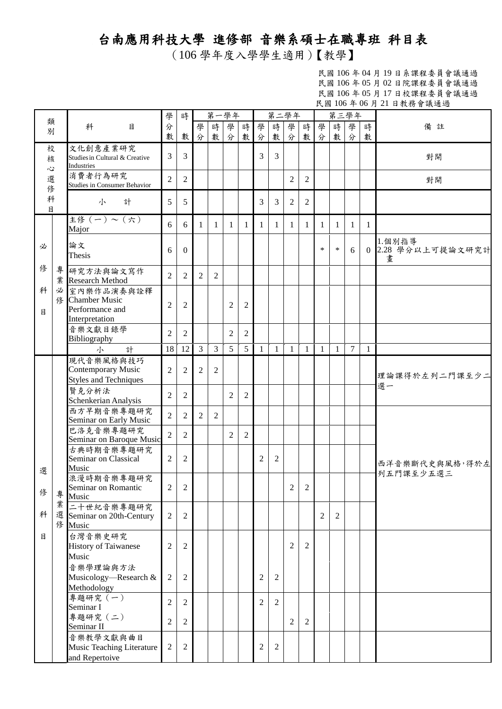## 台南應用科技大學 進修部 音樂系碩士在職專班 科目表

(106 學年度入學學生適用)【教學】

民國 106 年 04 月 19 日系課程委員會議通過 民國 106 年 05 月 02 日院課程委員會議通過 民國 106 年 05 月 17 日校課程委員會議通過 民國 106 年 06 月 21 日教務會議通過

|             |   |                                                                        | 學              | 時              |                |                | 第一學年           |                |                | 第二學年           |                |                |                | 第三學年   |                 |              |                                   |
|-------------|---|------------------------------------------------------------------------|----------------|----------------|----------------|----------------|----------------|----------------|----------------|----------------|----------------|----------------|----------------|--------|-----------------|--------------|-----------------------------------|
| 類<br>別      |   | 科<br>$\mathbf{B}$                                                      | 分<br>數         | 數              | 學<br>分         | 時<br>數         | 學<br>分         | 時<br>數         | 學<br>分         | 時<br>數         | 學<br>分         | 時<br>數         | 學<br>分         | 時<br>數 | 學<br>分          | 時<br>數       | 備註                                |
| 校<br>核<br>Č |   | 文化創意產業研究<br>Studies in Cultural & Creative<br>Industries               | 3              | 3              |                |                |                |                | 3              | 3              |                |                |                |        |                 |              | 對開                                |
| 選<br>俢      |   | 消費者行為研究<br>Studies in Consumer Behavior                                | $\overline{2}$ | $\overline{2}$ |                |                |                |                |                |                | $\overline{c}$ | $\overline{c}$ |                |        |                 |              | 對開                                |
| 科<br>目      |   | 小<br>計                                                                 | 5              | 5              |                |                |                |                | 3              | 3              | $\overline{2}$ | 2              |                |        |                 |              |                                   |
|             |   | 主修(一)~(六)<br>Major                                                     | 6              | 6              | $\mathbf{1}$   | 1              | $\mathbf{1}$   | 1              | $\mathbf{1}$   | $\mathbf{1}$   | $\mathbf{1}$   | 1              | $\mathbf{1}$   | 1      | $\mathbf{1}$    | $\mathbf{1}$ |                                   |
| 必           |   | 論文<br>Thesis                                                           | 6              | $\mathbf{0}$   |                |                |                |                |                |                |                |                | *              | $\ast$ | 6               |              | 1.個別指導<br>0 2.28 學分以上可提論文研究計<br>書 |
| 俢           |   | 專研究方法與論文寫作<br>業 Research Method                                        | $\overline{2}$ | 2              | $\overline{c}$ | 2              |                |                |                |                |                |                |                |        |                 |              |                                   |
| 科<br>目      |   | 必 室內樂作品演奏與詮釋<br>修 Chamber Music<br>Performance and<br>Interpretation   | $\overline{2}$ | $\overline{2}$ |                |                | $\overline{2}$ | $\overline{2}$ |                |                |                |                |                |        |                 |              |                                   |
|             |   | 音樂文獻目錄學<br>Bibliography                                                | $\overline{c}$ | 2              |                |                | $\overline{2}$ | 2              |                |                |                |                |                |        |                 |              |                                   |
|             |   | 計<br>小                                                                 | 18             | 12             | $\overline{3}$ | $\overline{3}$ | 5              | 5 <sup>5</sup> | $\mathbf{1}$   | $\mathbf{1}$   | $\mathbf{1}$   | $\mathbf{1}$   | $\mathbf{1}$   | 1      | $7\phantom{.0}$ | 1            |                                   |
|             |   | 現代音樂風格與技巧<br><b>Contemporary Music</b><br><b>Styles and Techniques</b> | $\overline{2}$ | $\overline{2}$ | $\overline{2}$ | $\overline{2}$ |                |                |                |                |                |                |                |        |                 |              | 理論課得於左列二門課至少二<br>選一               |
|             |   | 賢克分析法<br>Schenkerian Analysis                                          | $\overline{2}$ | $\overline{2}$ |                |                | 2              | 2              |                |                |                |                |                |        |                 |              |                                   |
|             |   | 西方早期音樂專題研究<br>Seminar on Early Music                                   | $\overline{2}$ | $\overline{2}$ | 2              | $\overline{c}$ |                |                |                |                |                |                |                |        |                 |              |                                   |
|             |   | 巴洛克音樂專題研究<br>Seminar on Baroque Music                                  | $\sqrt{2}$     | $\overline{2}$ |                |                | $\overline{2}$ | 2              |                |                |                |                |                |        |                 |              |                                   |
| 選           |   | 古典時期音樂專題研究<br>Seminar on Classical<br>Music                            | $\overline{2}$ | $\overline{c}$ |                |                |                |                | $\overline{c}$ | 2              |                |                |                |        |                 |              | 西洋音樂斷代史與風格,得於左                    |
| 修           | 專 | 浪漫時期音樂專題研究<br>Seminar on Romantic<br>Music                             | $\overline{2}$ | $\overline{2}$ |                |                |                |                |                |                | $\overline{2}$ | $\sqrt{2}$     |                |        |                 |              | 列五門課至少五選三                         |
| 科           | 業 | 二十世紀音樂專題研究<br>選 Seminar on 20th-Century<br>修 Music                     | $\overline{c}$ | $\overline{2}$ |                |                |                |                |                |                |                |                | $\overline{c}$ | 2      |                 |              |                                   |
| 目           |   | 台灣音樂史研究<br><b>History of Taiwanese</b><br>Music                        | $\overline{2}$ | 2              |                |                |                |                |                |                | $\overline{c}$ | $\overline{c}$ |                |        |                 |              |                                   |
|             |   | 音樂學理論與方法<br>Musicology—Research &<br>Methodology                       | $\mathfrak{2}$ | $\overline{2}$ |                |                |                |                | $\overline{c}$ | 2              |                |                |                |        |                 |              |                                   |
|             |   | 專題研究 (一)<br>Seminar I                                                  | $\overline{2}$ | $\overline{2}$ |                |                |                |                | $\overline{c}$ | $\overline{2}$ |                |                |                |        |                 |              |                                   |
|             |   | 專題研究 (二)<br>Seminar II                                                 | $\overline{2}$ | 2              |                |                |                |                |                |                | 2              | 2              |                |        |                 |              |                                   |
|             |   | 音樂教學文獻與曲目<br>Music Teaching Literature<br>and Repertoive               | $\overline{c}$ | $\overline{c}$ |                |                |                |                | $\overline{c}$ | 2              |                |                |                |        |                 |              |                                   |